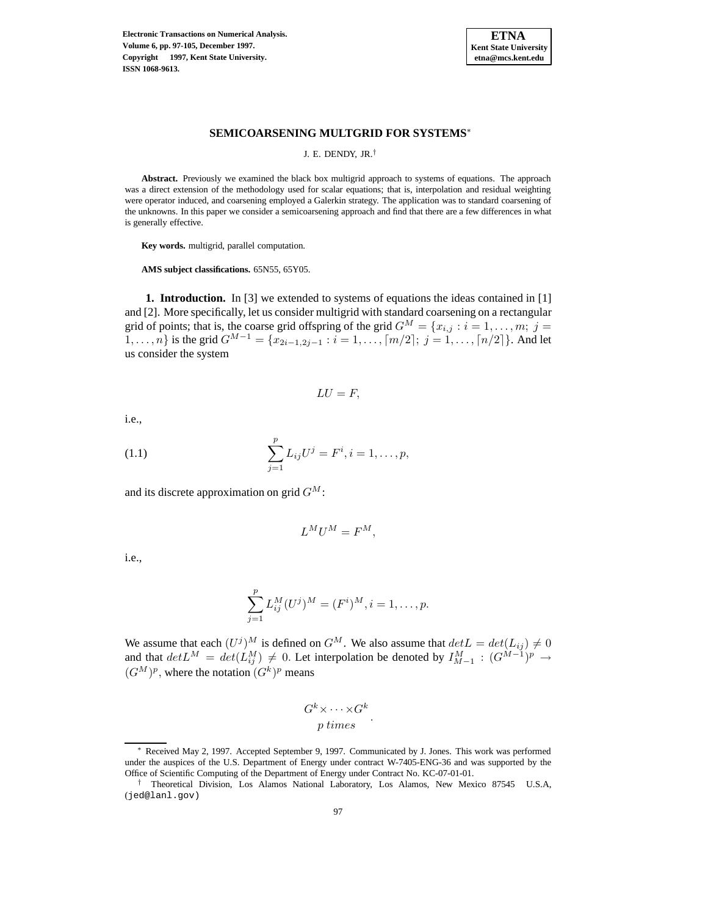**Electronic Transactions on Numerical Analysis. Volume 6, pp. 97-105, December 1997. Copyright 1997, Kent State University. ISSN 1068-9613.**



### **SEMICOARSENING MULTGRID FOR SYSTEMS**<sup>∗</sup>

J. E. DENDY, JR.†

**Abstract.** Previously we examined the black box multigrid approach to systems of equations. The approach was a direct extension of the methodology used for scalar equations; that is, interpolation and residual weighting were operator induced, and coarsening employed a Galerkin strategy. The application was to standard coarsening of the unknowns. In this paper we consider a semicoarsening approach and find that there are a few differences in what is generally effective.

**Key words.** multigrid, parallel computation.

**AMS subject classifications.** 65N55, 65Y05.

**1. Introduction.** In [3] we extended to systems of equations the ideas contained in [1] and [2]. More specifically, let us consider multigrid with standard coarsening on a rectangular grid of points; that is, the coarse grid offspring of the grid  $G^M = \{x_{i,j} : i = 1, \ldots, m; j = 1\}$  $1, \ldots, n$ } is the grid  $G^{M-1} = \{x_{2i-1, 2j-1} : i = 1, \ldots, \lceil m/2 \rceil; j = 1, \ldots, \lceil n/2 \rceil\}$ . And let us consider the system

$$
LU=F,
$$

i.e.,

(1.1) 
$$
\sum_{j=1}^{p} L_{ij} U^{j} = F^{i}, i = 1, ..., p,
$$

and its discrete approximation on grid  $G^M$ :

$$
L^M U^M = F^M,
$$

i.e.,

$$
\sum_{j=1}^{p} L_{ij}^{M} (U^{j})^{M} = (F^{i})^{M}, i = 1, \dots, p.
$$

We assume that each  $(U^j)^M$  is defined on  $G^M$ . We also assume that  $det L = det(L_{ij}) \neq 0$ and that  $det L^M = det(L_{ij}^M) \neq 0$ . Let interpolation be denoted by  $I_{M-1}^M : (G^{M-1})^p \rightarrow$  $(G^M)^p$ , where the notation  $(G^k)^p$  means

$$
\frac{G^k \times \cdots \times G^k}{p \ times}.
$$

Received May 2, 1997. Accepted September 9, 1997. Communicated by J. Jones. This work was performed under the auspices of the U.S. Department of Energy under contract W-7405-ENG-36 and was supported by the Office of Scientific Computing of the Department of Energy under Contract No. KC-07-01-01.

<sup>†</sup> Theoretical Division, Los Alamos National Laboratory, Los Alamos, New Mexico 87545 U.S.A, (jed@lanl.gov)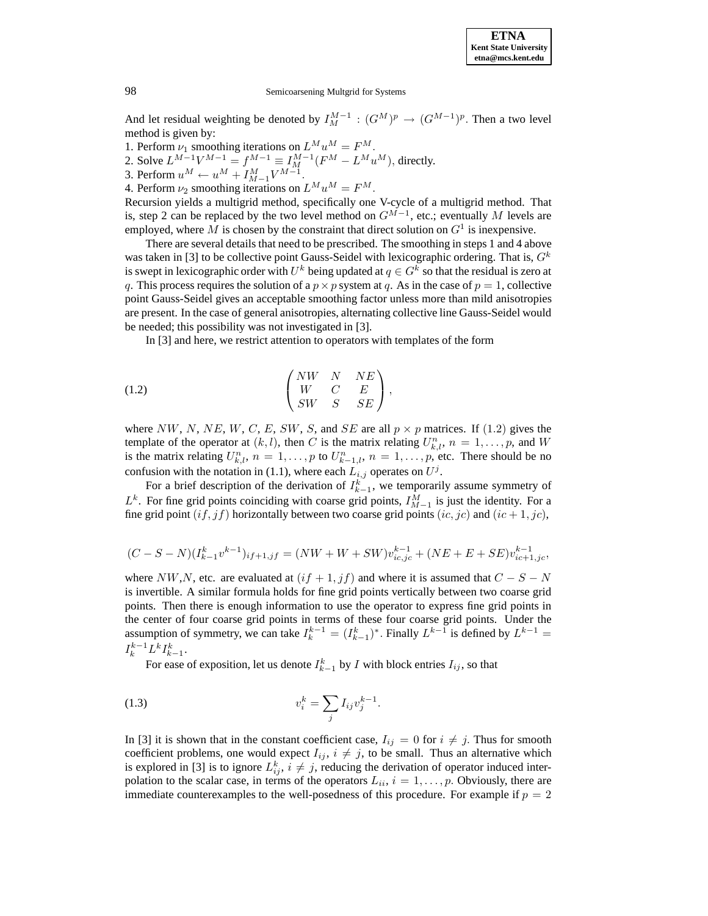

And let residual weighting be denoted by  $I_M^{M-1}$  :  $(G^M)^p \to (G^{M-1})^p$ . Then a two level method is given by:

1. Perform  $\nu_1$  smoothing iterations on  $L^M u^M = F^M$ .

2. Solve  $L^{M-1}V^{M-1} = f^{M-1} \equiv I^{M-1}_M(F^M - L^M u^M)$ , directly.

3. Perform  $u^M \leftarrow u^M + I_{M-1}^M V^{M-1}$ .

4. Perform  $\nu_2$  smoothing iterations on  $L^M u^M = F^M$ .

Recursion yields a multigrid method, specifically one V-cycle of a multigrid method. That is, step 2 can be replaced by the two level method on  $G^{M-1}$ , etc.; eventually M levels are employed, where M is chosen by the constraint that direct solution on  $G<sup>1</sup>$  is inexpensive.

There are several details that need to be prescribed. The smoothing in steps 1 and 4 above was taken in [3] to be collective point Gauss-Seidel with lexicographic ordering. That is,  $G<sup>k</sup>$ is swept in lexicographic order with  $U^k$  being updated at  $q \in G^k$  so that the residual is zero at q. This process requires the solution of a  $p \times p$  system at q. As in the case of  $p = 1$ , collective point Gauss-Seidel gives an acceptable smoothing factor unless more than mild anisotropies are present. In the case of general anisotropies, alternating collective line Gauss-Seidel would be needed; this possibility was not investigated in [3].

In [3] and here, we restrict attention to operators with templates of the form

$$
(1.2) \quad \begin{pmatrix} NW & N & NE \\ W & C & E \\ SW & S & SE \end{pmatrix},
$$

where NW, N, NE, W, C, E, SW, S, and SE are all  $p \times p$  matrices. If (1.2) gives the template of the operator at  $(k, l)$ , then C is the matrix relating  $U_{k,l}^n$ ,  $n = 1, \ldots, p$ , and W is the matrix relating  $U_{k,l}^n$ ,  $n = 1, \ldots, p$  to  $U_{k-1,l}^n$ ,  $n = 1, \ldots, p$ , etc. There should be no confusion with the notation in (1.1), where each  $L_{i,j}$  operates on  $U^j$ .

For a brief description of the derivation of  $I_{k-1}^k$ , we temporarily assume symmetry of  $L^k$ . For fine grid points coinciding with coarse grid points,  $I_{M-1}^M$  is just the identity. For a fine grid point  $(if,jf)$  horizontally between two coarse grid points  $(ic,jc)$  and  $(ic+1,jc)$ ,

$$
(C-S-N)(I_{k-1}^k v^{k-1})_{if+1,jf} = (NW+W+SW)v_{ic,jc}^{k-1} + (NE+E+SE)v_{ic+1,jc}^{k-1},
$$

where NW,N, etc. are evaluated at  $(if + 1, jf)$  and where it is assumed that  $C - S - N$ is invertible. A similar formula holds for fine grid points vertically between two coarse grid points. Then there is enough information to use the operator to express fine grid points in the center of four coarse grid points in terms of these four coarse grid points. Under the assumption of symmetry, we can take  $I_k^{k-1} = (I_{k-1}^k)$ <sup>\*</sup>. Finally  $L^{k-1}$  is defined by  $L^{k-1}$  =  $I_k^{k-1}L^kI_{k-1}^k$ .

For ease of exposition, let us denote  $I_{k-1}^k$  by  $I$  with block entries  $I_{ij}$ , so that

(1.3) 
$$
v_i^k = \sum_j I_{ij} v_j^{k-1}.
$$

In [3] it is shown that in the constant coefficient case,  $I_{ij} = 0$  for  $i \neq j$ . Thus for smooth coefficient problems, one would expect  $I_{ij}$ ,  $i \neq j$ , to be small. Thus an alternative which is explored in [3] is to ignore  $L_{ij}^k$ ,  $i \neq j$ , reducing the derivation of operator induced interpolation to the scalar case, in terms of the operators  $L_{ii}$ ,  $i = 1, \ldots, p$ . Obviously, there are immediate counterexamples to the well-posedness of this procedure. For example if  $p = 2$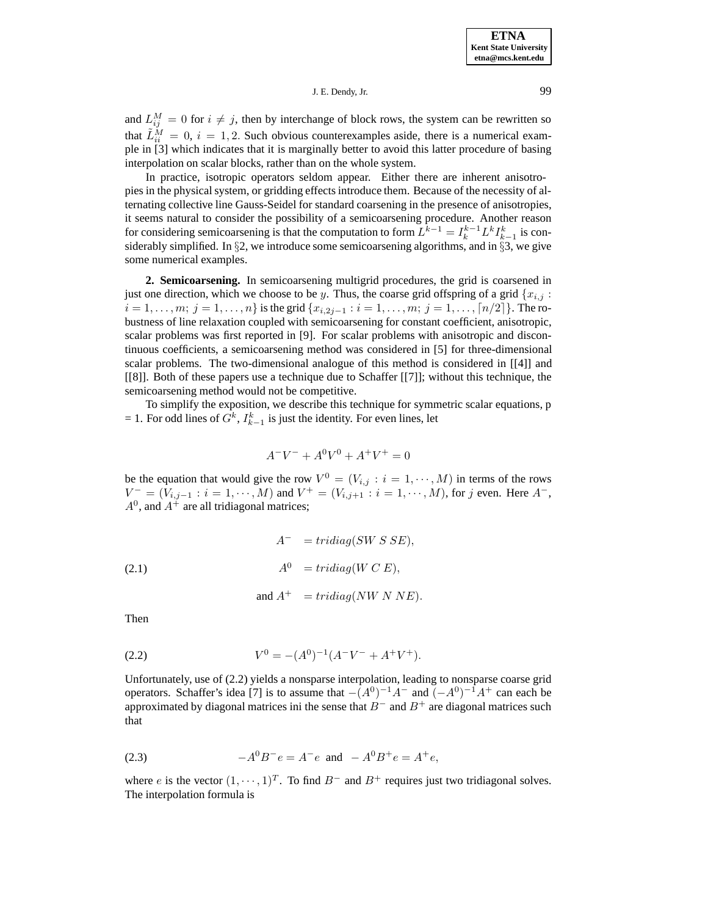## J. E. Dendy, Jr. 99

and  $L_{ij}^M = 0$  for  $i \neq j$ , then by interchange of block rows, the system can be rewritten so that  $\tilde{L}_{ii}^M = 0$ ,  $i = 1, 2$ . Such obvious counterexamples aside, there is a numerical example in [3] which indicates that it is marginally better to avoid this latter procedure of basing interpolation on scalar blocks, rather than on the whole system.

In practice, isotropic operators seldom appear. Either there are inherent anisotropies in the physical system, or gridding effects introduce them. Because of the necessity of alternating collective line Gauss-Seidel for standard coarsening in the presence of anisotropies, it seems natural to consider the possibility of a semicoarsening procedure. Another reason for considering semicoarsening is that the computation to form  $L^{k-1} = I_k^{k-1} L^k I_{k-1}^k$  is considerably simplified. In §2, we introduce some semicoarsening algorithms, and in §3, we give some numerical examples.

**2. Semicoarsening.** In semicoarsening multigrid procedures, the grid is coarsened in just one direction, which we choose to be y. Thus, the coarse grid offspring of a grid  ${x_{i,j}}$ :  $i = 1, \ldots, m; j = 1, \ldots, n$  is the grid  $\{x_{i,2j-1} : i = 1, \ldots, m; j = 1, \ldots, \lceil n/2 \rceil \}$ . The robustness of line relaxation coupled with semicoarsening for constant coefficient, anisotropic, scalar problems was first reported in [9]. For scalar problems with anisotropic and discontinuous coefficients, a semicoarsening method was considered in [5] for three-dimensional scalar problems. The two-dimensional analogue of this method is considered in [[4]] and [[8]]. Both of these papers use a technique due to Schaffer [[7]]; without this technique, the semicoarsening method would not be competitive.

To simplify the exposition, we describe this technique for symmetric scalar equations, p  $= 1$ . For odd lines of  $G<sup>k</sup>$ ,  $I<sup>k</sup><sub>k-1</sub>$  is just the identity. For even lines, let

$$
A^-V^- + A^0V^0 + A^+V^+ = 0
$$

be the equation that would give the row  $V^0 = (V_{i,j} : i = 1, \dots, M)$  in terms of the rows  $V^- = (V_{i,j-1} : i = 1, \cdots, M)$  and  $V^+ = (V_{i,j+1} : i = 1, \cdots, M)$ , for j even. Here  $A^-$ ,  $A^0$ , and  $A^+$  are all tridiagonal matrices;

(2.1) 
$$
A^{-} = tridiag(SW S SE),
$$

$$
A^{0} = tridiag(W C E),
$$

$$
and A^{+} = tridiag(NW N NE).
$$

Then

$$
(2.2) \tV^0 = -(A^0)^{-1}(A^-V^- + A^+V^+).
$$

Unfortunately, use of (2.2) yields a nonsparse interpolation, leading to nonsparse coarse grid operators. Schaffer's idea [7] is to assume that  $-(A^0)^{-1}A^-$  and  $(-A^0)^{-1}A^+$  can each be approximated by diagonal matrices ini the sense that  $B^-$  and  $B^+$  are diagonal matrices such that

(2.3) 
$$
-A^{0}B^{-}e = A^{-}e \text{ and } -A^{0}B^{+}e = A^{+}e,
$$

where e is the vector  $(1, \dots, 1)^T$ . To find  $B^-$  and  $B^+$  requires just two tridiagonal solves. The interpolation formula is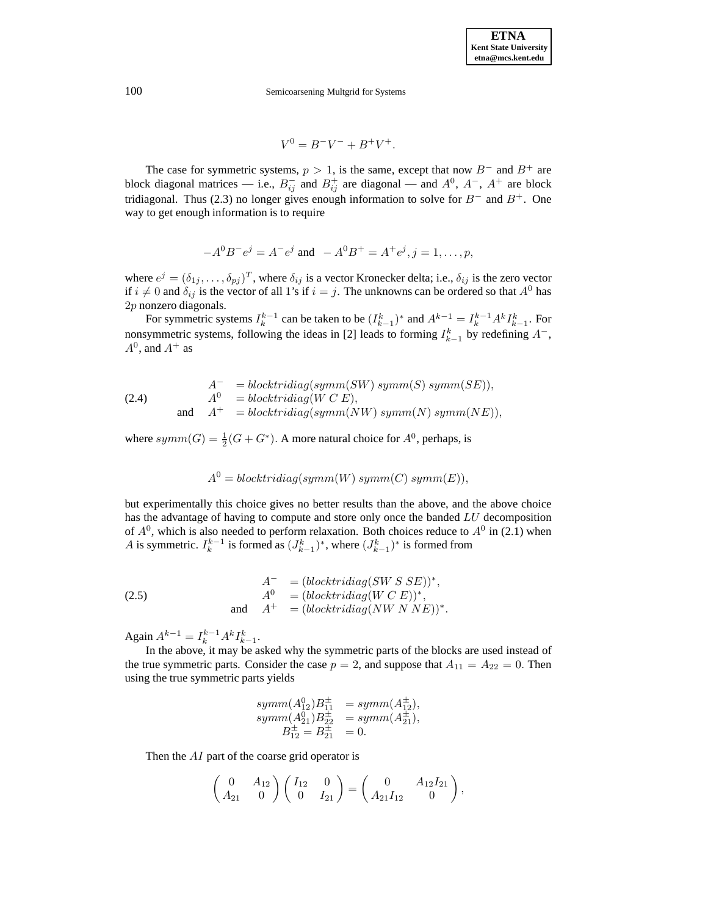$$
V^0 = B^-V^- + B^+V^+.
$$

The case for symmetric systems,  $p > 1$ , is the same, except that now  $B^-$  and  $B^+$  are block diagonal matrices — i.e.,  $B_{ij}^-$  and  $B_{ij}^+$  are diagonal — and  $A^0$ ,  $A^-$ ,  $A^+$  are block tridiagonal. Thus (2.3) no longer gives enough information to solve for  $B^-$  and  $B^+$ . One way to get enough information is to require

$$
-A^{0}B^{-}e^{j} = A^{-}e^{j}
$$
 and 
$$
-A^{0}B^{+} = A^{+}e^{j}, j = 1, \dots, p,
$$

where  $e^j = (\delta_{1j}, \ldots, \delta_{pj})^T$ , where  $\delta_{ij}$  is a vector Kronecker delta; i.e.,  $\delta_{ij}$  is the zero vector if  $i \neq 0$  and  $\delta_{ij}$  is the vector of all 1's if  $i = j$ . The unknowns can be ordered so that  $A^0$  has 2p nonzero diagonals.

For symmetric systems  $I_k^{k-1}$  can be taken to be  $(I_{k-1}^k)^*$  and  $A^{k-1} = I_k^{k-1} A^k I_{k-1}^k$ . For nonsymmetric systems, following the ideas in [2] leads to forming  $I_{k-1}^k$  by redefining  $A^-$ ,  $A^0$ , and  $A^+$  as

(2.4) 
$$
A^{-} = blocktridiag(symm(SW) \, symm(S) \, symm(SE)),
$$

$$
A^{0} = blocktridiag(W C E),
$$

$$
A^{+} = blocktridiag(symm(NW) \, symm(N) \, symm(NE)),
$$

where  $symm(G) = \frac{1}{2}(G + G^*)$ . A more natural choice for  $A^0$ , perhaps, is

$$
A0 = blocktridiag(symm(W) symm(C) symm(E)),
$$

but experimentally this choice gives no better results than the above, and the above choice has the advantage of having to compute and store only once the banded LU decomposition of  $A^0$ , which is also needed to perform relaxation. Both choices reduce to  $A^0$  in (2.1) when A is symmetric.  $I_k^{k-1}$  is formed as  $(J_{k-1}^k)^*$ , where  $(J_{k-1}^k)^*$  is formed from

(2.5) 
$$
A^{-} = (blocktridiag(SW S SE))^{*},
$$

$$
A^{0} = (blocktridiag(W C E))^{*},
$$

$$
A^{+} = (blocktridiag(NW N NE))^{*}.
$$

Again  $A^{k-1} = I_k^{k-1} A^k I_{k-1}^k$ .

In the above, it may be asked why the symmetric parts of the blocks are used instead of the true symmetric parts. Consider the case  $p = 2$ , and suppose that  $A_{11} = A_{22} = 0$ . Then using the true symmetric parts yields

$$
symm(A_{12}^{0})B_{11}^{\pm} = symm(A_{12}^{\pm}),
$$
  
\n
$$
symm(A_{21}^{0})B_{22}^{\pm} = symm(A_{21}^{\pm}),
$$
  
\n
$$
B_{12}^{\pm} = B_{21}^{\pm} = 0.
$$

Then the AI part of the coarse grid operator is

$$
\begin{pmatrix} 0 & A_{12} \\ A_{21} & 0 \end{pmatrix} \begin{pmatrix} I_{12} & 0 \\ 0 & I_{21} \end{pmatrix} = \begin{pmatrix} 0 & A_{12}I_{21} \\ A_{21}I_{12} & 0 \end{pmatrix},
$$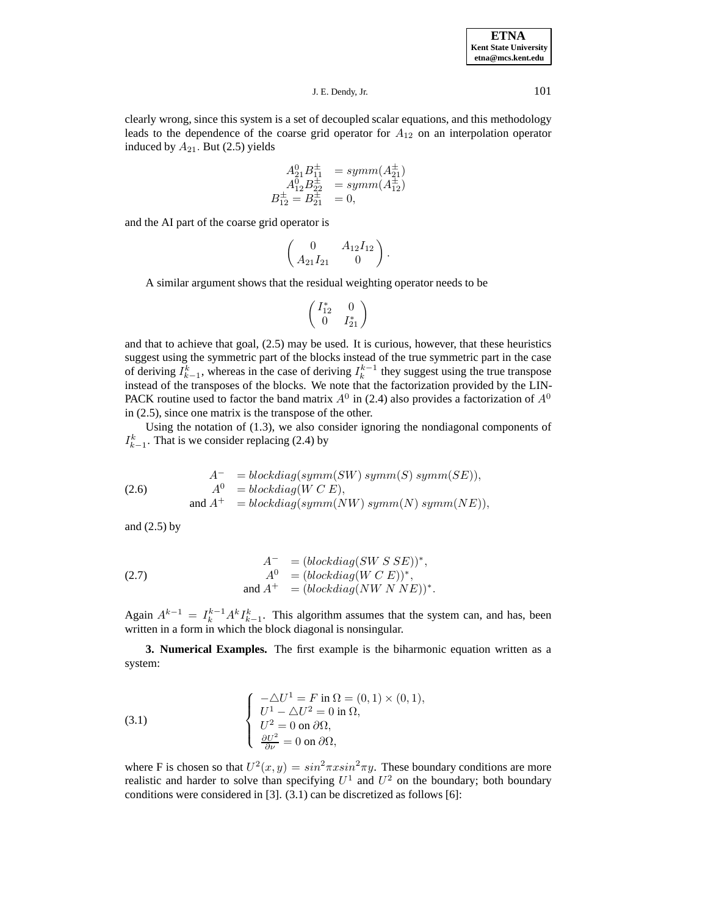**ETNA Kent State University etna@mcs.kent.edu**

J. E. Dendy, Jr. 101

clearly wrong, since this system is a set of decoupled scalar equations, and this methodology leads to the dependence of the coarse grid operator for  $A_{12}$  on an interpolation operator induced by  $A_{21}$ . But (2.5) yields

$$
A_{21}^{0}B_{11}^{\pm} = symm(A_{21}^{\pm})
$$
  
\n
$$
A_{12}^{0}B_{22}^{\pm} = symm(A_{12}^{\pm})
$$
  
\n
$$
B_{12}^{\pm} = B_{21}^{\pm} = 0,
$$

and the AI part of the coarse grid operator is

$$
\begin{pmatrix} 0 & A_{12}I_{12} \ A_{21}I_{21} & 0 \end{pmatrix}.
$$

A similar argument shows that the residual weighting operator needs to be

$$
\left(\begin{array}{cc}I_{12}^*&0\\0&I_{21}^*\end{array}\right)
$$

and that to achieve that goal, (2.5) may be used. It is curious, however, that these heuristics suggest using the symmetric part of the blocks instead of the true symmetric part in the case of deriving  $I_{k-1}^k$ , whereas in the case of deriving  $I_k^{k-1}$  they suggest using the true transpose instead of the transposes of the blocks. We note that the factorization provided by the LIN-PACK routine used to factor the band matrix  $A^0$  in (2.4) also provides a factorization of  $A^0$ in (2.5), since one matrix is the transpose of the other.

Using the notation of (1.3), we also consider ignoring the nondiagonal components of  $I_{k-1}^k$ . That is we consider replacing (2.4) by

(2.6) 
$$
A^{-} = blockdiag(symm(SW) \text{ symm}(S) \text{ symm}(SE)),
$$

$$
A^{0} = blockdiag(W C E),
$$

$$
and A^{+} = blockdiag(symm(NW) \text{ symm}(N) \text{ symm}(NE)),
$$

and (2.5) by

(2.7) 
$$
A^{-} = (blockdiag(SW S SE))^{*},
$$

$$
A^{0} = (blockdiag(W C E))^{*},
$$

$$
and A^{+} = (blockdiag(NW N NE))^{*}.
$$

Again  $A^{k-1} = I_k^{k-1} A^k I_{k-1}^k$ . This algorithm assumes that the system can, and has, been written in a form in which the block diagonal is nonsingular.

**3. Numerical Examples.** The first example is the biharmonic equation written as a system:

(3.1) 
$$
\begin{cases}\n-\Delta U^1 = F \text{ in } \Omega = (0, 1) \times (0, 1), \\
U^1 - \Delta U^2 = 0 \text{ in } \Omega, \\
U^2 = 0 \text{ on } \partial \Omega, \\
\frac{\partial U^2}{\partial \nu} = 0 \text{ on } \partial \Omega,\n\end{cases}
$$

where F is chosen so that  $U^2(x,y) = \sin^2 \pi x \sin^2 \pi y$ . These boundary conditions are more realistic and harder to solve than specifying  $U^1$  and  $U^2$  on the boundary; both boundary conditions were considered in [3]. (3.1) can be discretized as follows [6]: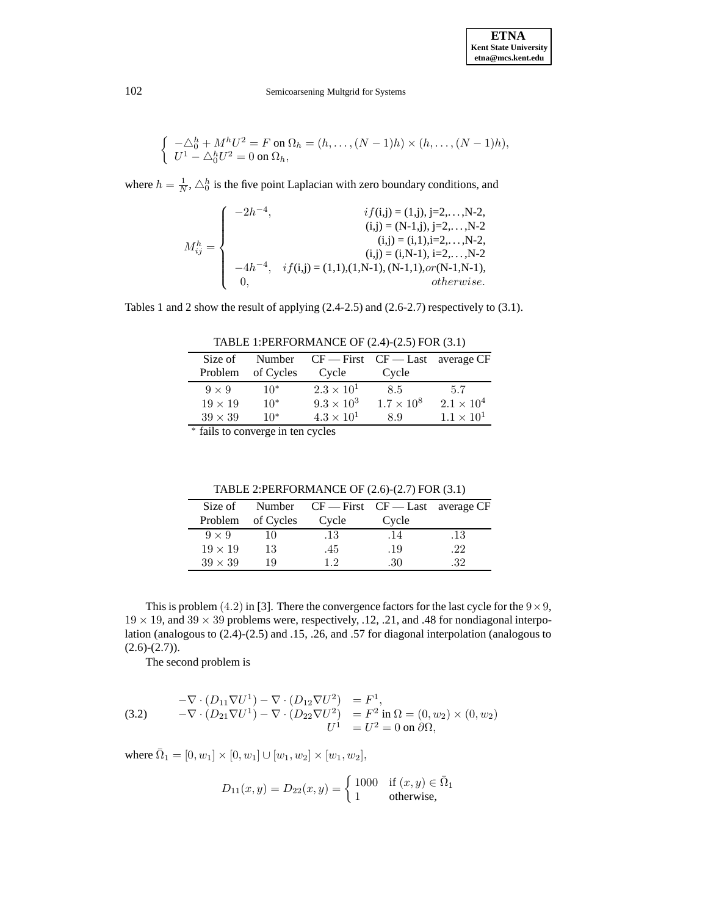$$
\begin{cases}\n-\triangle_0^h + M^h U^2 = F \text{ on } \Omega_h = (h, \dots, (N-1)h) \times (h, \dots, (N-1)h), \\
U^1 - \triangle_0^h U^2 = 0 \text{ on } \Omega_h,\n\end{cases}
$$

where  $h = \frac{1}{N}$ ,  $\triangle_0^h$  is the five point Laplacian with zero boundary conditions, and

|                     | $\int -2h^{-4}$ , | $if(i,j) = (1,j), j=2,,N-2,$                                  |
|---------------------|-------------------|---------------------------------------------------------------|
|                     |                   | $(i,j) = (N-1,j), i=2,\ldots,N-2$                             |
| $M_{ij}^h = \Big\{$ |                   | $(i,j) = (i,1), i=2,,N-2,$                                    |
|                     |                   | $(i,j) = (i,N-1), i=2,\ldots,N-2$                             |
|                     |                   | $-4h^{-4}$ , $if(i,j) = (1,1),(1,N-1),(N-1,1), or (N-1,N-1),$ |
|                     |                   | <i>otherwise.</i>                                             |

Tables 1 and 2 show the result of applying (2.4-2.5) and (2.6-2.7) respectively to (3.1).

TABLE 1:PERFORMANCE OF (2.4)-(2.5) FOR (3.1)

| Size of        | Number                    | $CF$ – First $CF$ – Last average CF |                     |                     |
|----------------|---------------------------|-------------------------------------|---------------------|---------------------|
| Problem        | of Cycles                 | Cycle                               | Cycle               |                     |
| $9 \times 9$   | $10*$                     | $2.3 \times 10^{1}$                 | 8.5                 | -5.7                |
| $19 \times 19$ | $10*$                     | $9.3 \times 10^{3}$                 | $1.7 \times 10^{8}$ | $2.1 \times 10^{4}$ |
| $39 \times 39$ | $10*$                     | $4.3 \times 10^{1}$                 | 8.9                 | $1.1 \times 10^{1}$ |
|                | $k$ $\sim$ $1$ $\sim$ $1$ |                                     |                     |                     |

<sup>∗</sup> fails to converge in ten cycles

| Size of        |                   | Number $CF = First CF = Last average CF$ |       |     |
|----------------|-------------------|------------------------------------------|-------|-----|
|                | Problem of Cycles | Cycle                                    | Cycle |     |
| $9 \times 9$   | 10                | .13                                      | .14   | .13 |
| $19 \times 19$ | 13                | .45                                      | .19   | .22 |
| $39 \times 39$ | 19                | 12                                       | .30   | .32 |

TABLE 2:PERFORMANCE OF (2.6)-(2.7) FOR (3.1)

This is problem (4.2) in [3]. There the convergence factors for the last cycle for the  $9 \times 9$ ,  $19 \times 19$ , and  $39 \times 39$  problems were, respectively, .12, .21, and .48 for nondiagonal interpolation (analogous to (2.4)-(2.5) and .15, .26, and .57 for diagonal interpolation (analogous to  $(2.6)-(2.7)$ .

The second problem is

(3.2) 
$$
-\nabla \cdot (D_{11} \nabla U^1) - \nabla \cdot (D_{12} \nabla U^2) = F^1,
$$
  
\n
$$
-\nabla \cdot (D_{21} \nabla U^1) - \nabla \cdot (D_{22} \nabla U^2) = F^2 \text{ in } \Omega = (0, w_2) \times (0, w_2)
$$
  
\n
$$
U^1 = U^2 = 0 \text{ on } \partial \Omega,
$$

where  $\overline{\Omega}_1 = [0, w_1] \times [0, w_1] \cup [w_1, w_2] \times [w_1, w_2],$ 

$$
D_{11}(x,y) = D_{22}(x,y) = \begin{cases} 1000 & \text{if } (x,y) \in \overline{\Omega}_1 \\ 1 & \text{otherwise,} \end{cases}
$$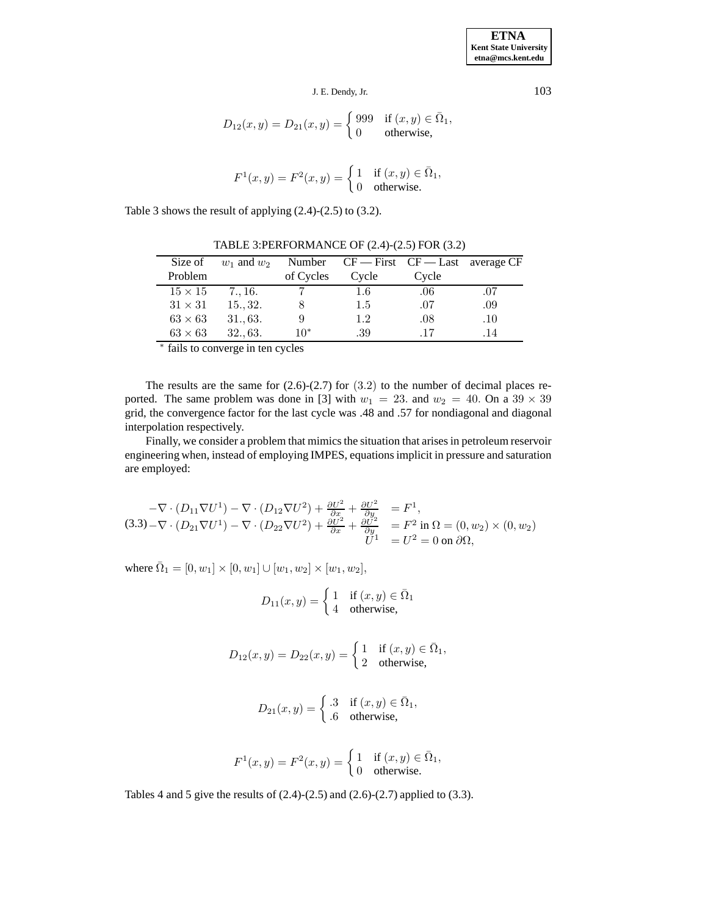$$
J.E. Dendy, Jr. \t\t\t\t\t 103
$$

$$
D_{12}(x,y) = D_{21}(x,y) = \begin{cases} 999 & \text{if } (x,y) \in \bar{\Omega}_1, \\ 0 & \text{otherwise,} \end{cases}
$$

$$
F^{1}(x, y) = F^{2}(x, y) = \begin{cases} 1 & \text{if } (x, y) \in \bar{\Omega}_{1}, \\ 0 & \text{otherwise.} \end{cases}
$$

Table 3 shows the result of applying (2.4)-(2.5) to (3.2).

| Size of        | $w_1$ and $w_2$ |           | Number $CF = First CF = Last average CF$ |       |     |
|----------------|-----------------|-----------|------------------------------------------|-------|-----|
| Problem        |                 | of Cycles | Cycle                                    | Cycle |     |
| $15 \times 15$ | 7., 16.         |           | 1.6                                      | .06   | .07 |
| $31 \times 31$ | 1532.           |           | 1.5                                      | .07   | .09 |
| $63 \times 63$ | 31., 63.        |           | 1.2                                      | .08   | .10 |
| $63 \times 63$ | 3263.           | $10*$     | .39                                      | .17   | .14 |

TABLE 3:PERFORMANCE OF (2.4)-(2.5) FOR (3.2)

<sup>∗</sup> fails to converge in ten cycles

The results are the same for  $(2.6)-(2.7)$  for  $(3.2)$  to the number of decimal places reported. The same problem was done in [3] with  $w_1 = 23$ . and  $w_2 = 40$ . On a  $39 \times 39$ grid, the convergence factor for the last cycle was .48 and .57 for nondiagonal and diagonal interpolation respectively.

Finally, we consider a problem that mimics the situation that arises in petroleum reservoir engineering when, instead of employing IMPES, equations implicit in pressure and saturation are employed:

$$
-\nabla \cdot (D_{11}\nabla U^1) - \nabla \cdot (D_{12}\nabla U^2) + \frac{\partial U^2}{\partial x} + \frac{\partial U^2}{\partial y} = F^1,
$$
  
(3.3)  $-\nabla \cdot (D_{21}\nabla U^1) - \nabla \cdot (D_{22}\nabla U^2) + \frac{\partial U^2}{\partial x} + \frac{\partial U^2}{\partial y} = F^2$  in  $\Omega = (0, w_2) \times (0, w_2)$   

$$
U^1 = U^2 = 0
$$
 on  $\partial\Omega,$ 

where  $\overline{\Omega}_1 = [0, w_1] \times [0, w_1] \cup [w_1, w_2] \times [w_1, w_2],$ 

$$
D_{11}(x,y) = \begin{cases} 1 & \text{if } (x,y) \in \bar{\Omega}_1 \\ 4 & \text{otherwise,} \end{cases}
$$

$$
D_{12}(x,y) = D_{22}(x,y) = \begin{cases} 1 & \text{if } (x,y) \in \bar{\Omega}_1, \\ 2 & \text{otherwise,} \end{cases}
$$

$$
D_{21}(x,y) = \begin{cases} .3 & \text{if } (x,y) \in \bar{\Omega}_1, \\ .6 & \text{otherwise,} \end{cases}
$$

$$
F^{1}(x, y) = F^{2}(x, y) = \begin{cases} 1 & \text{if } (x, y) \in \bar{\Omega}_{1}, \\ 0 & \text{otherwise.} \end{cases}
$$

Tables 4 and 5 give the results of (2.4)-(2.5) and (2.6)-(2.7) applied to (3.3).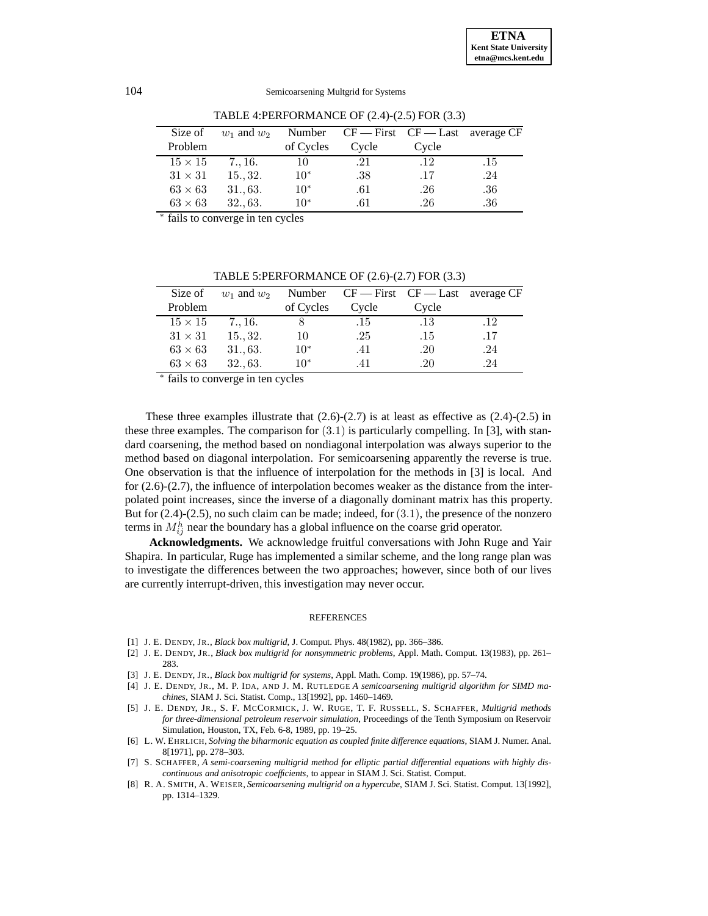| Size of        | $w_1$ and $w_2$ |           | Number $CF = First CF = Last average CF$ |       |         |
|----------------|-----------------|-----------|------------------------------------------|-------|---------|
| Problem        |                 | of Cycles | Cycle                                    | Cycle |         |
| $15 \times 15$ | 7., 16.         | 10        | .21                                      | -12   | .15     |
| $31 \times 31$ | 1532.           | $10*$     | .38                                      | .17   | .24     |
| $63 \times 63$ | 31.,63.         | $10*$     | .61                                      | .26   | .36     |
| $63 \times 63$ | 3263.           | $10*$     | .61                                      | .26   | $.36\,$ |

TABLE 4:PERFORMANCE OF (2.4)-(2.5) FOR (3.3)

<sup>∗</sup> fails to converge in ten cycles

Size of  $w_1$  and  $w_2$  Number CF — First CF — Last average CF Problem of Cycles Cycle Cycle  $15 \times 15$  7., 16. 8 .15 .13 .12  $31 \times 31$  15., 32. 10 .25 .15 .17  $63 \times 63$   $31., 63.$   $10^*$  .41 .20 .24  $63 \times 63$   $32., 63.$   $10^*$  .41 .20 .24

TABLE 5:PERFORMANCE OF (2.6)-(2.7) FOR (3.3)

fails to converge in ten cycles

These three examples illustrate that  $(2.6)-(2.7)$  is at least as effective as  $(2.4)-(2.5)$  in these three examples. The comparison for  $(3.1)$  is particularly compelling. In [3], with standard coarsening, the method based on nondiagonal interpolation was always superior to the method based on diagonal interpolation. For semicoarsening apparently the reverse is true. One observation is that the influence of interpolation for the methods in [3] is local. And for (2.6)-(2.7), the influence of interpolation becomes weaker as the distance from the interpolated point increases, since the inverse of a diagonally dominant matrix has this property. But for  $(2.4)-(2.5)$ , no such claim can be made; indeed, for  $(3.1)$ , the presence of the nonzero terms in  $M_{ij}^h$  near the boundary has a global influence on the coarse grid operator.

**Acknowledgments.** We acknowledge fruitful conversations with John Ruge and Yair Shapira. In particular, Ruge has implemented a similar scheme, and the long range plan was to investigate the differences between the two approaches; however, since both of our lives are currently interrupt-driven, this investigation may never occur.

#### **REFERENCES**

- [1] J. E. DENDY, JR., *Black box multigrid*, J. Comput. Phys. 48(1982), pp. 366–386.
- [2] J. E. DENDY, JR., *Black box multigrid for nonsymmetric problems*, Appl. Math. Comput. 13(1983), pp. 261– 283.
- [3] J. E. DENDY, JR., *Black box multigrid for systems*, Appl. Math. Comp. 19(1986), pp. 57–74.
- [4] J. E. DENDY, JR., M. P. IDA, AND J. M. RUTLEDGE *A semicoarsening multigrid algorithm for SIMD machines*, SIAM J. Sci. Statist. Comp., 13[1992], pp. 1460–1469.
- [5] J. E. DENDY, JR., S. F. MCCORMICK, J. W. RUGE, T. F. RUSSELL, S. SCHAFFER, *Multigrid methods for three-dimensional petroleum reservoir simulation*, Proceedings of the Tenth Symposium on Reservoir Simulation, Houston, TX, Feb. 6-8, 1989, pp. 19–25.
- [6] L. W. EHRLICH, *Solving the biharmonic equation as coupled finite difference equations,* SIAM J. Numer. Anal. 8[1971], pp. 278–303.
- [7] S. SCHAFFER, *A semi-coarsening multigrid method for elliptic partial differential equations with highly discontinuous and anisotropic coefficients,* to appear in SIAM J. Sci. Statist. Comput.
- [8] R. A. SMITH, A. WEISER, *Semicoarsening multigrid on a hypercube*, SIAM J. Sci. Statist. Comput. 13[1992], pp. 1314–1329.